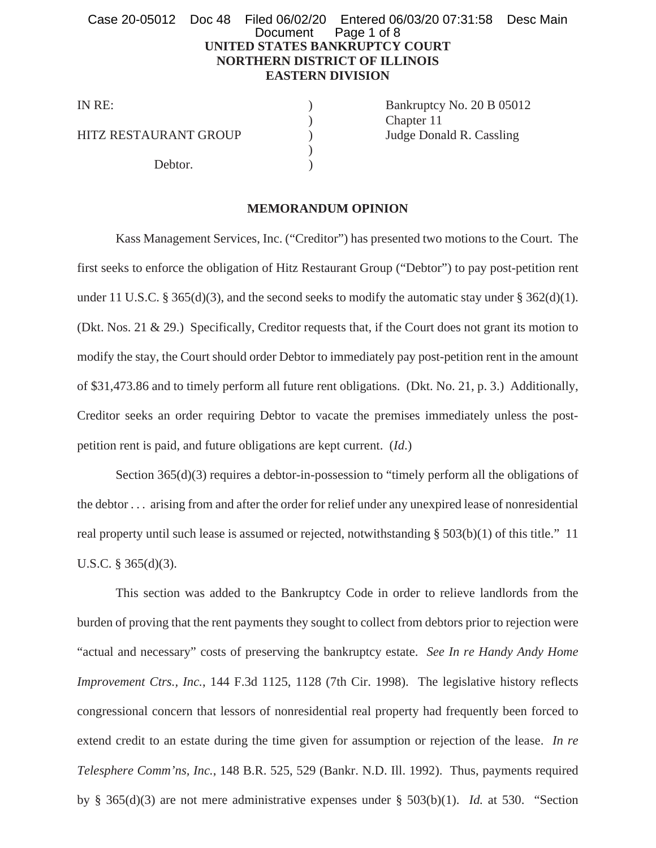# **UNITED STATES BANKRUPTCY COURT NORTHERN DISTRICT OF ILLINOIS EASTERN DIVISION** Case 20-05012 Doc 48 Filed 06/02/20 Entered 06/03/20 07:31:58 Desc Main Document Page 1 of 8

HITZ RESTAURANT GROUP (b) Judge Donald R. Cassling

Debtor.

IN RE: Bankruptcy No. 20 B 05012 ) Chapter 11

# **MEMORANDUM OPINION**

 $\mathcal{L}$ 

Kass Management Services, Inc. ("Creditor") has presented two motions to the Court. The first seeks to enforce the obligation of Hitz Restaurant Group ("Debtor") to pay post-petition rent under 11 U.S.C. § 365(d)(3), and the second seeks to modify the automatic stay under § 362(d)(1). (Dkt. Nos. 21 & 29.) Specifically, Creditor requests that, if the Court does not grant its motion to modify the stay, the Court should order Debtor to immediately pay post-petition rent in the amount of \$31,473.86 and to timely perform all future rent obligations. (Dkt. No. 21, p. 3.) Additionally, Creditor seeks an order requiring Debtor to vacate the premises immediately unless the postpetition rent is paid, and future obligations are kept current. (*Id*.)

Section 365(d)(3) requires a debtor-in-possession to "timely perform all the obligations of the debtor . . . arising from and after the order for relief under any unexpired lease of nonresidential real property until such lease is assumed or rejected, notwithstanding § 503(b)(1) of this title." 11 U.S.C. § 365(d)(3).

This section was added to the Bankruptcy Code in order to relieve landlords from the burden of proving that the rent payments they sought to collect from debtors prior to rejection were "actual and necessary" costs of preserving the bankruptcy estate. *See In re Handy Andy Home Improvement Ctrs., Inc.*, 144 F.3d 1125, 1128 (7th Cir. 1998). The legislative history reflects congressional concern that lessors of nonresidential real property had frequently been forced to extend credit to an estate during the time given for assumption or rejection of the lease. *In re Telesphere Comm'ns, Inc.*, 148 B.R. 525, 529 (Bankr. N.D. Ill. 1992). Thus, payments required by § 365(d)(3) are not mere administrative expenses under § 503(b)(1). *Id.* at 530. "Section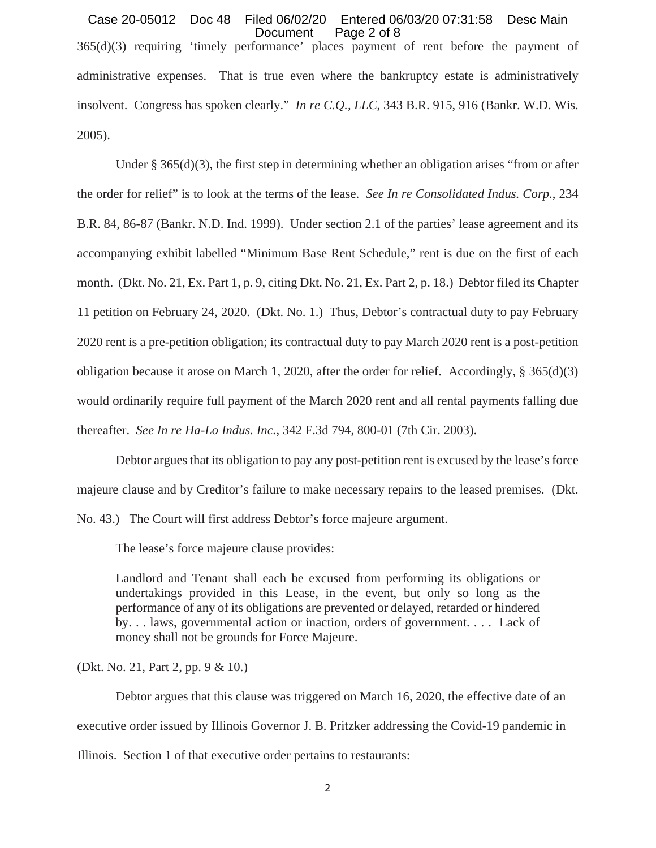365(d)(3) requiring 'timely performance' places payment of rent before the payment of administrative expenses. That is true even where the bankruptcy estate is administratively insolvent. Congress has spoken clearly." *In re C.Q., LLC*, 343 B.R. 915, 916 (Bankr. W.D. Wis. 2005). Case 20-05012 Doc 48 Filed 06/02/20 Entered 06/03/20 07:31:58 Desc Main Document Page 2 of 8

Under § 365(d)(3), the first step in determining whether an obligation arises "from or after the order for relief" is to look at the terms of the lease. *See In re Consolidated Indus. Corp.*, 234 B.R. 84, 86-87 (Bankr. N.D. Ind. 1999). Under section 2.1 of the parties' lease agreement and its accompanying exhibit labelled "Minimum Base Rent Schedule," rent is due on the first of each month. (Dkt. No. 21, Ex. Part 1, p. 9, citing Dkt. No. 21, Ex. Part 2, p. 18.) Debtor filed its Chapter 11 petition on February 24, 2020. (Dkt. No. 1.) Thus, Debtor's contractual duty to pay February 2020 rent is a pre-petition obligation; its contractual duty to pay March 2020 rent is a post-petition obligation because it arose on March 1, 2020, after the order for relief. Accordingly, § 365(d)(3) would ordinarily require full payment of the March 2020 rent and all rental payments falling due thereafter. *See In re Ha-Lo Indus. Inc.*, 342 F.3d 794, 800-01 (7th Cir. 2003).

Debtor argues that its obligation to pay any post-petition rent is excused by the lease's force majeure clause and by Creditor's failure to make necessary repairs to the leased premises. (Dkt.

No. 43.) The Court will first address Debtor's force majeure argument.

The lease's force majeure clause provides:

Landlord and Tenant shall each be excused from performing its obligations or undertakings provided in this Lease, in the event, but only so long as the performance of any of its obligations are prevented or delayed, retarded or hindered by. . . laws, governmental action or inaction, orders of government. . . . Lack of money shall not be grounds for Force Majeure.

(Dkt. No. 21, Part 2, pp. 9 & 10.)

Debtor argues that this clause was triggered on March 16, 2020, the effective date of an executive order issued by Illinois Governor J. B. Pritzker addressing the Covid-19 pandemic in Illinois. Section 1 of that executive order pertains to restaurants: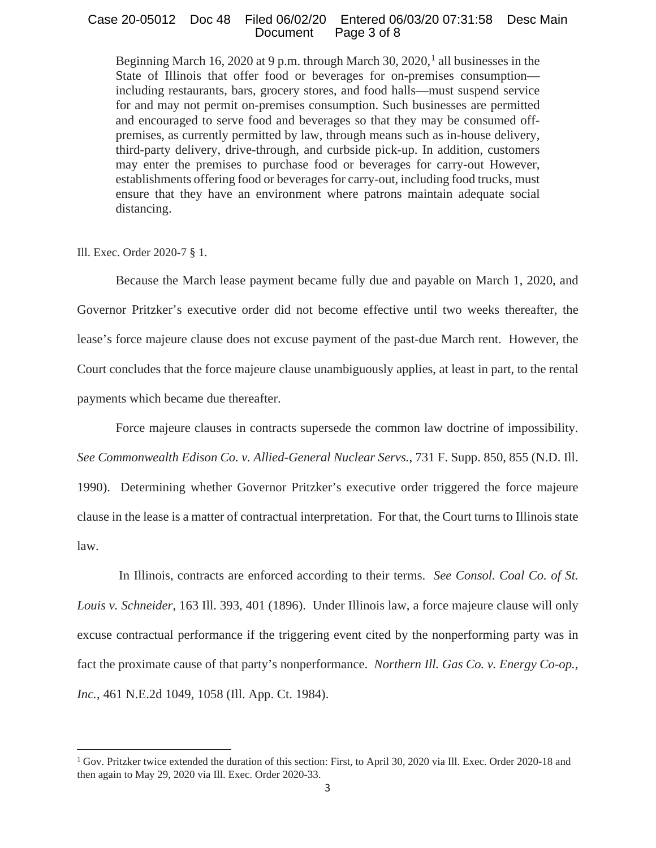## Case 20-05012 Doc 48 Filed 06/02/20 Entered 06/03/20 07:31:58 Desc Main Document Page 3 of 8

Beginning March 16, 2020 at 9 p.m. through March 30, 2020,  $\frac{1}{1}$  all businesses in the State of Illinois that offer food or beverages for on-premises consumption including restaurants, bars, grocery stores, and food halls—must suspend service for and may not permit on-premises consumption. Such businesses are permitted and encouraged to serve food and beverages so that they may be consumed offpremises, as currently permitted by law, through means such as in-house delivery, third-party delivery, drive-through, and curbside pick-up. In addition, customers may enter the premises to purchase food or beverages for carry-out However, establishments offering food or beverages for carry-out, including food trucks, must ensure that they have an environment where patrons maintain adequate social distancing.

Ill. Exec. Order 2020-7 § 1.

Because the March lease payment became fully due and payable on March 1, 2020, and Governor Pritzker's executive order did not become effective until two weeks thereafter, the lease's force majeure clause does not excuse payment of the past-due March rent. However, the Court concludes that the force majeure clause unambiguously applies, at least in part, to the rental payments which became due thereafter.

Force majeure clauses in contracts supersede the common law doctrine of impossibility.

*See Commonwealth Edison Co. v. Allied-General Nuclear Servs.*, 731 F. Supp. 850, 855 (N.D. Ill.

1990). Determining whether Governor Pritzker's executive order triggered the force majeure clause in the lease is a matter of contractual interpretation. For that, the Court turns to Illinois state law.

In Illinois, contracts are enforced according to their terms. *See Consol. Coal Co. of St. Louis v. Schneider*, 163 Ill. 393, 401 (1896). Under Illinois law, a force majeure clause will only excuse contractual performance if the triggering event cited by the nonperforming party was in fact the proximate cause of that party's nonperformance. *Northern Ill. Gas Co. v. Energy Co-op., Inc.*, 461 N.E.2d 1049, 1058 (Ill. App. Ct. 1984).

<sup>1</sup> Gov. Pritzker twice extended the duration of this section: First, to April 30, 2020 via Ill. Exec. Order 2020-18 and then again to May 29, 2020 via Ill. Exec. Order 2020-33.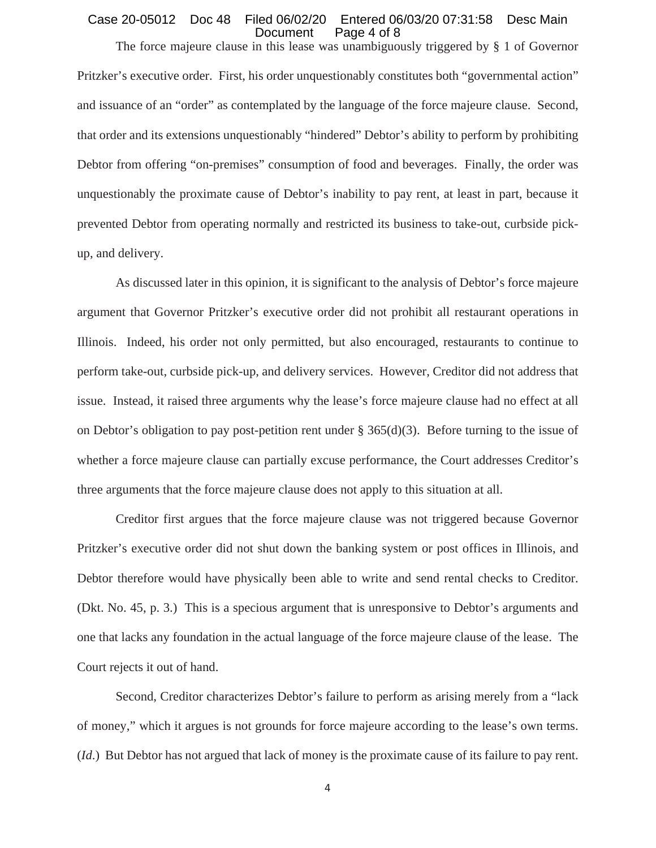### Case 20-05012 Doc 48 Filed 06/02/20 Entered 06/03/20 07:31:58 Desc Main Document Page 4 of 8

The force majeure clause in this lease was unambiguously triggered by § 1 of Governor Pritzker's executive order. First, his order unquestionably constitutes both "governmental action" and issuance of an "order" as contemplated by the language of the force majeure clause. Second, that order and its extensions unquestionably "hindered" Debtor's ability to perform by prohibiting Debtor from offering "on-premises" consumption of food and beverages. Finally, the order was unquestionably the proximate cause of Debtor's inability to pay rent, at least in part, because it prevented Debtor from operating normally and restricted its business to take-out, curbside pickup, and delivery.

As discussed later in this opinion, it is significant to the analysis of Debtor's force majeure argument that Governor Pritzker's executive order did not prohibit all restaurant operations in Illinois. Indeed, his order not only permitted, but also encouraged, restaurants to continue to perform take-out, curbside pick-up, and delivery services. However, Creditor did not address that issue. Instead, it raised three arguments why the lease's force majeure clause had no effect at all on Debtor's obligation to pay post-petition rent under § 365(d)(3). Before turning to the issue of whether a force majeure clause can partially excuse performance, the Court addresses Creditor's three arguments that the force majeure clause does not apply to this situation at all.

Creditor first argues that the force majeure clause was not triggered because Governor Pritzker's executive order did not shut down the banking system or post offices in Illinois, and Debtor therefore would have physically been able to write and send rental checks to Creditor. (Dkt. No. 45, p. 3.) This is a specious argument that is unresponsive to Debtor's arguments and one that lacks any foundation in the actual language of the force majeure clause of the lease. The Court rejects it out of hand.

Second, Creditor characterizes Debtor's failure to perform as arising merely from a "lack of money," which it argues is not grounds for force majeure according to the lease's own terms. (*Id*.) But Debtor has not argued that lack of money is the proximate cause of its failure to pay rent.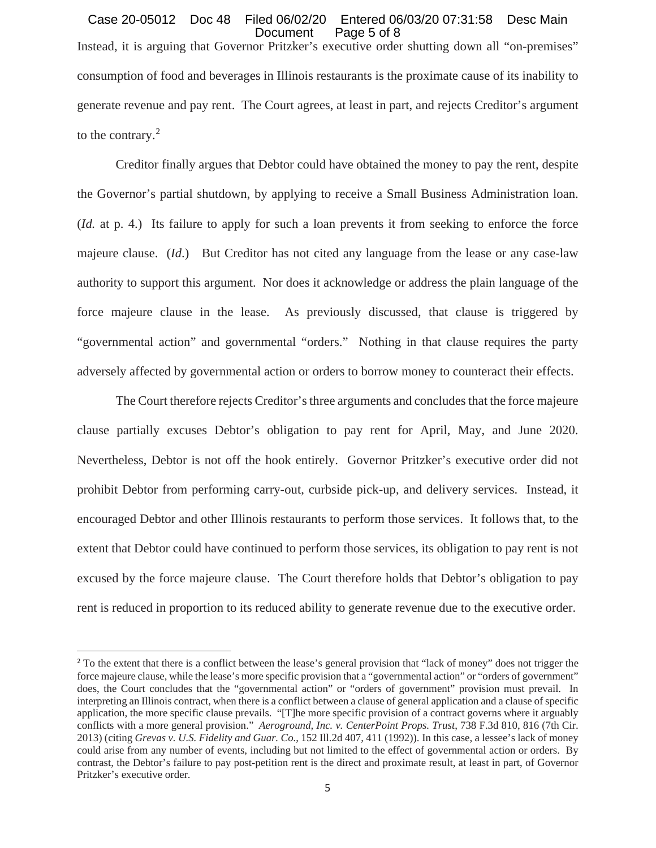# Instead, it is arguing that Governor Pritzker's executive order shutting down all "on-premises" consumption of food and beverages in Illinois restaurants is the proximate cause of its inability to generate revenue and pay rent. The Court agrees, at least in part, and rejects Creditor's argument to the contrary.<sup>2</sup> Case 20-05012 Doc 48 Filed 06/02/20 Entered 06/03/20 07:31:58 Desc Main Document Page 5 of 8

Creditor finally argues that Debtor could have obtained the money to pay the rent, despite the Governor's partial shutdown, by applying to receive a Small Business Administration loan. (*Id.* at p. 4.) Its failure to apply for such a loan prevents it from seeking to enforce the force majeure clause. (*Id*.) But Creditor has not cited any language from the lease or any case-law authority to support this argument. Nor does it acknowledge or address the plain language of the force majeure clause in the lease. As previously discussed, that clause is triggered by "governmental action" and governmental "orders." Nothing in that clause requires the party adversely affected by governmental action or orders to borrow money to counteract their effects.

The Court therefore rejects Creditor's three arguments and concludes that the force majeure clause partially excuses Debtor's obligation to pay rent for April, May, and June 2020. Nevertheless, Debtor is not off the hook entirely. Governor Pritzker's executive order did not prohibit Debtor from performing carry-out, curbside pick-up, and delivery services. Instead, it encouraged Debtor and other Illinois restaurants to perform those services. It follows that, to the extent that Debtor could have continued to perform those services, its obligation to pay rent is not excused by the force majeure clause. The Court therefore holds that Debtor's obligation to pay rent is reduced in proportion to its reduced ability to generate revenue due to the executive order.

<sup>&</sup>lt;sup>2</sup> To the extent that there is a conflict between the lease's general provision that "lack of money" does not trigger the force majeure clause, while the lease's more specific provision that a "governmental action" or "orders of government" does, the Court concludes that the "governmental action" or "orders of government" provision must prevail. In interpreting an Illinois contract, when there is a conflict between a clause of general application and a clause of specific application, the more specific clause prevails. "[T]he more specific provision of a contract governs where it arguably conflicts with a more general provision." *Aeroground, Inc. v. CenterPoint Props. Trust*, 738 F.3d 810, 816 (7th Cir. 2013) (citing *Grevas v. U.S. Fidelity and Guar. Co.*, 152 Ill.2d 407, 411 (1992)). In this case, a lessee's lack of money could arise from any number of events, including but not limited to the effect of governmental action or orders. By contrast, the Debtor's failure to pay post-petition rent is the direct and proximate result, at least in part, of Governor Pritzker's executive order.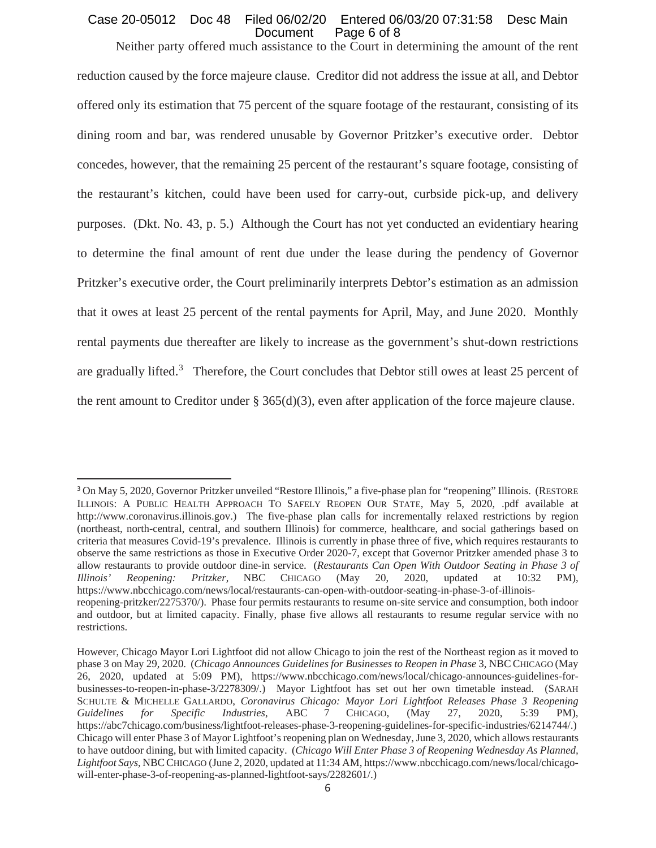# Case 20-05012 Doc 48 Filed 06/02/20 Entered 06/03/20 07:31:58 Desc Main Document Page 6 of 8

Neither party offered much assistance to the Court in determining the amount of the rent reduction caused by the force majeure clause. Creditor did not address the issue at all, and Debtor offered only its estimation that 75 percent of the square footage of the restaurant, consisting of its dining room and bar, was rendered unusable by Governor Pritzker's executive order. Debtor concedes, however, that the remaining 25 percent of the restaurant's square footage, consisting of the restaurant's kitchen, could have been used for carry-out, curbside pick-up, and delivery purposes. (Dkt. No. 43, p. 5.) Although the Court has not yet conducted an evidentiary hearing to determine the final amount of rent due under the lease during the pendency of Governor Pritzker's executive order, the Court preliminarily interprets Debtor's estimation as an admission that it owes at least 25 percent of the rental payments for April, May, and June 2020. Monthly rental payments due thereafter are likely to increase as the government's shut-down restrictions are gradually lifted.<sup>3</sup> Therefore, the Court concludes that Debtor still owes at least 25 percent of the rent amount to Creditor under § 365(d)(3), even after application of the force majeure clause.

<sup>3</sup> On May 5, 2020, Governor Pritzker unveiled "Restore Illinois," a five-phase plan for "reopening" Illinois. (RESTORE ILLINOIS: A PUBLIC HEALTH APPROACH TO SAFELY REOPEN OUR STATE, May 5, 2020, .pdf available at http://www.coronavirus.illinois.gov.) The five-phase plan calls for incrementally relaxed restrictions by region (northeast, north-central, central, and southern Illinois) for commerce, healthcare, and social gatherings based on criteria that measures Covid-19's prevalence. Illinois is currently in phase three of five, which requires restaurants to observe the same restrictions as those in Executive Order 2020-7, except that Governor Pritzker amended phase 3 to allow restaurants to provide outdoor dine-in service. (*Restaurants Can Open With Outdoor Seating in Phase 3 of Illinois' Reopening: Pritzker*, NBC CHICAGO (May 20, 2020, updated at 10:32 PM), https://www.nbcchicago.com/news/local/restaurants-can-open-with-outdoor-seating-in-phase-3-of-illinoisreopening-pritzker/2275370/). Phase four permits restaurants to resume on-site service and consumption, both indoor and outdoor, but at limited capacity. Finally, phase five allows all restaurants to resume regular service with no restrictions.

However, Chicago Mayor Lori Lightfoot did not allow Chicago to join the rest of the Northeast region as it moved to phase 3 on May 29, 2020. (*Chicago Announces Guidelines for Businesses to Reopen in Phase* 3, NBC CHICAGO (May 26, 2020, updated at 5:09 PM), https://www.nbcchicago.com/news/local/chicago-announces-guidelines-forbusinesses-to-reopen-in-phase-3/2278309/.) Mayor Lightfoot has set out her own timetable instead. (SARAH SCHULTE & MICHELLE GALLARDO, *Coronavirus Chicago: Mayor Lori Lightfoot Releases Phase 3 Reopening Guidelines for Specific Industries*, ABC 7 CHICAGO, (May 27, 2020, 5:39 PM), https://abc7chicago.com/business/lightfoot-releases-phase-3-reopening-guidelines-for-specific-industries/6214744/.) Chicago will enter Phase 3 of Mayor Lightfoot's reopening plan on Wednesday, June 3, 2020, which allows restaurants to have outdoor dining, but with limited capacity. (*Chicago Will Enter Phase 3 of Reopening Wednesday As Planned, Lightfoot Says*, NBCCHICAGO (June 2, 2020, updated at 11:34 AM, https://www.nbcchicago.com/news/local/chicagowill-enter-phase-3-of-reopening-as-planned-lightfoot-says/2282601/.)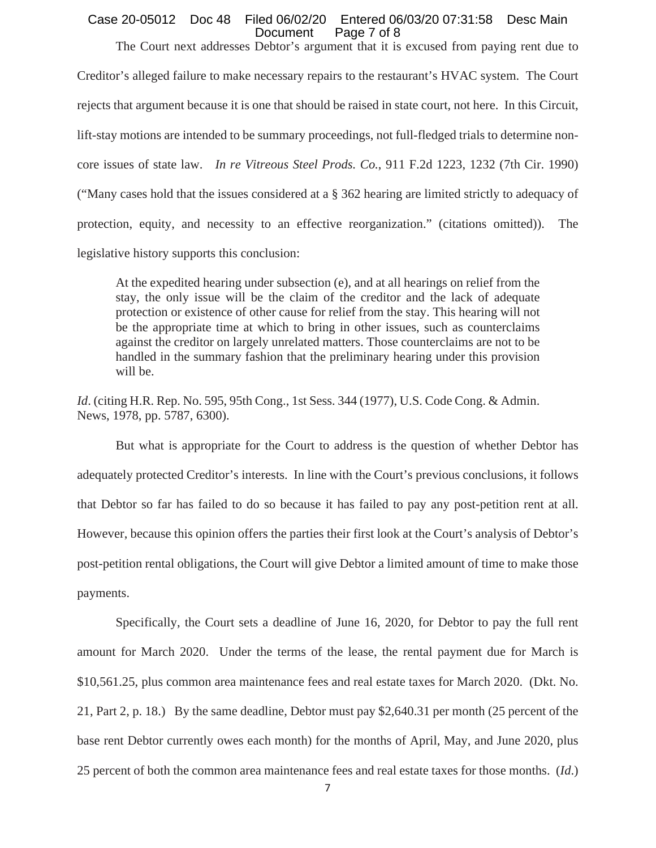### Case 20-05012 Doc 48 Filed 06/02/20 Entered 06/03/20 07:31:58 Desc Main Document Page 7 of 8

The Court next addresses Debtor's argument that it is excused from paying rent due to Creditor's alleged failure to make necessary repairs to the restaurant's HVAC system. The Court rejects that argument because it is one that should be raised in state court, not here. In this Circuit, lift-stay motions are intended to be summary proceedings, not full-fledged trials to determine noncore issues of state law. *In re Vitreous Steel Prods. Co.*, 911 F.2d 1223, 1232 (7th Cir. 1990) ("Many cases hold that the issues considered at a § 362 hearing are limited strictly to adequacy of protection, equity, and necessity to an effective reorganization." (citations omitted)). The legislative history supports this conclusion:

At the expedited hearing under subsection (e), and at all hearings on relief from the stay, the only issue will be the claim of the creditor and the lack of adequate protection or existence of other cause for relief from the stay. This hearing will not be the appropriate time at which to bring in other issues, such as counterclaims against the creditor on largely unrelated matters. Those counterclaims are not to be handled in the summary fashion that the preliminary hearing under this provision will be.

*Id.* (citing H.R. Rep. No. 595, 95th Cong., 1st Sess. 344 (1977), U.S. Code Cong. & Admin. News, 1978, pp. 5787, 6300).

But what is appropriate for the Court to address is the question of whether Debtor has adequately protected Creditor's interests. In line with the Court's previous conclusions, it follows that Debtor so far has failed to do so because it has failed to pay any post-petition rent at all. However, because this opinion offers the parties their first look at the Court's analysis of Debtor's post-petition rental obligations, the Court will give Debtor a limited amount of time to make those payments.

Specifically, the Court sets a deadline of June 16, 2020, for Debtor to pay the full rent amount for March 2020. Under the terms of the lease, the rental payment due for March is \$10,561.25, plus common area maintenance fees and real estate taxes for March 2020. (Dkt. No. 21, Part 2, p. 18.) By the same deadline, Debtor must pay \$2,640.31 per month (25 percent of the base rent Debtor currently owes each month) for the months of April, May, and June 2020, plus 25 percent of both the common area maintenance fees and real estate taxes for those months. (*Id*.)